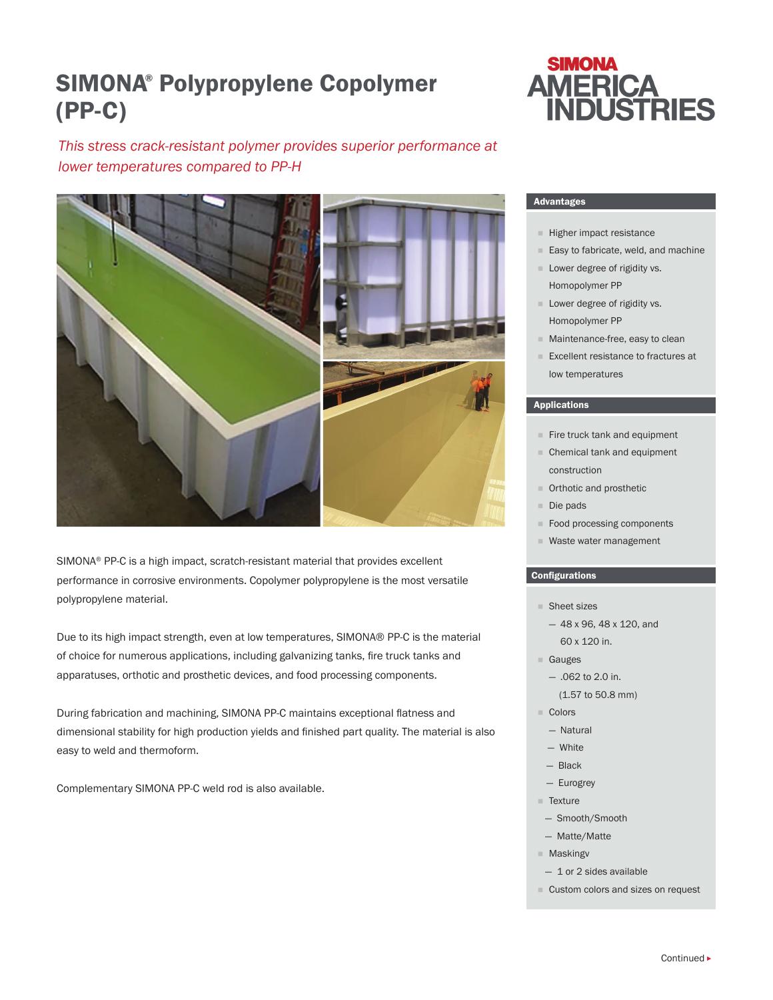## SIMONA® Polypropylene Copolymer (PP-C)

# **SIMONA AMERICA<br>INDUSTRIES**

### *This stress crack-resistant polymer provides superior performance at lower temperatures compared to PP-H*



SIMONA® PP-C is a high impact, scratch-resistant material that provides excellent performance in corrosive environments. Copolymer polypropylene is the most versatile polypropylene material.

Due to its high impact strength, even at low temperatures, SIMONA® PP-C is the material of choice for numerous applications, including galvanizing tanks, fire truck tanks and apparatuses, orthotic and prosthetic devices, and food processing components.

During fabrication and machining, SIMONA PP-C maintains exceptional flatness and dimensional stability for high production yields and finished part quality. The material is also easy to weld and thermoform.

Complementary SIMONA PP-C weld rod is also available.

#### Advantages

- **Higher impact resistance**
- Easy to fabricate, weld, and machine
- **Lower degree of rigidity vs.** Homopolymer PP
- **Lower degree of rigidity vs.** Homopolymer PP
- **Maintenance-free, easy to clean**
- Excellent resistance to fractures at low temperatures

#### Applications

- $F$  Fire truck tank and equipment
- Chemical tank and equipment construction
- **Orthotic and prosthetic**
- Die pads
- Food processing components
- Waste water management

#### Configurations

- Sheet sizes
	- 48 x 96, 48 x 120, and 60 x 120 in.
- Gauges
	- .062 to 2.0 in.
	- (1.57 to 50.8 mm)
- Colors
	- Natural
	- White
	- Black
- Eurogrey
- Texture
- Smooth/Smooth
- Matte/Matte
- **Maskingv**
- 1 or 2 sides available
- Custom colors and sizes on request